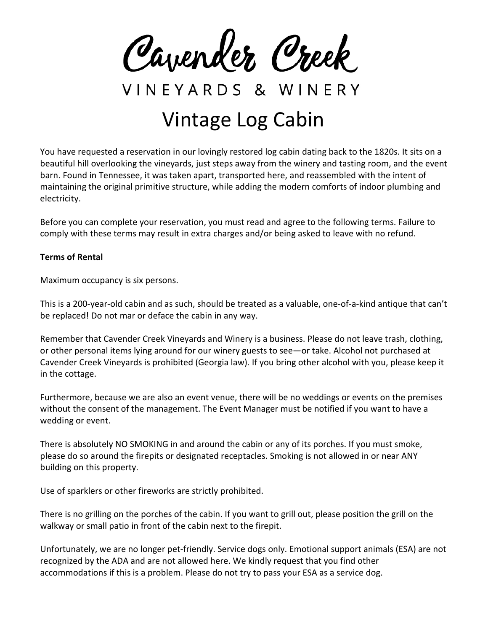Cavender Creek

VINEYARDS & WINERY

## Vintage Log Cabin

You have requested a reservation in our lovingly restored log cabin dating back to the 1820s. It sits on a beautiful hill overlooking the vineyards, just steps away from the winery and tasting room, and the event barn. Found in Tennessee, it was taken apart, transported here, and reassembled with the intent of maintaining the original primitive structure, while adding the modern comforts of indoor plumbing and electricity.

Before you can complete your reservation, you must read and agree to the following terms. Failure to comply with these terms may result in extra charges and/or being asked to leave with no refund.

## **Terms of Rental**

Maximum occupancy is six persons.

This is a 200-year-old cabin and as such, should be treated as a valuable, one-of-a-kind antique that can't be replaced! Do not mar or deface the cabin in any way.

Remember that Cavender Creek Vineyards and Winery is a business. Please do not leave trash, clothing, or other personal items lying around for our winery guests to see—or take. Alcohol not purchased at Cavender Creek Vineyards is prohibited (Georgia law). If you bring other alcohol with you, please keep it in the cottage.

Furthermore, because we are also an event venue, there will be no weddings or events on the premises without the consent of the management. The Event Manager must be notified if you want to have a wedding or event.

There is absolutely NO SMOKING in and around the cabin or any of its porches. If you must smoke, please do so around the firepits or designated receptacles. Smoking is not allowed in or near ANY building on this property.

Use of sparklers or other fireworks are strictly prohibited.

There is no grilling on the porches of the cabin. If you want to grill out, please position the grill on the walkway or small patio in front of the cabin next to the firepit.

Unfortunately, we are no longer pet-friendly. Service dogs only. Emotional support animals (ESA) are not recognized by the ADA and are not allowed here. We kindly request that you find other accommodations if this is a problem. Please do not try to pass your ESA as a service dog.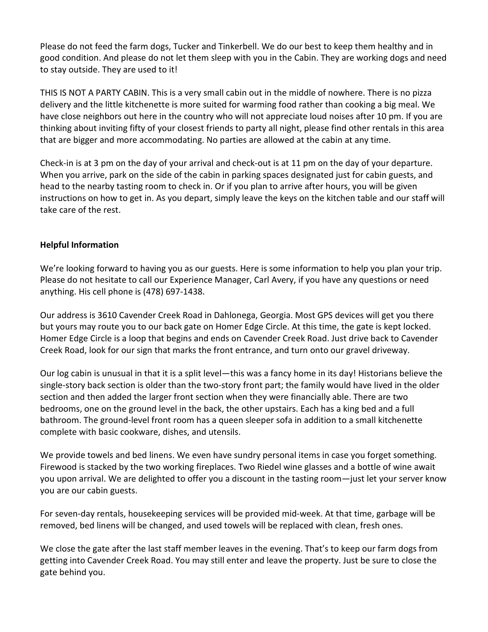Please do not feed the farm dogs, Tucker and Tinkerbell. We do our best to keep them healthy and in good condition. And please do not let them sleep with you in the Cabin. They are working dogs and need to stay outside. They are used to it!

THIS IS NOT A PARTY CABIN. This is a very small cabin out in the middle of nowhere. There is no pizza delivery and the little kitchenette is more suited for warming food rather than cooking a big meal. We have close neighbors out here in the country who will not appreciate loud noises after 10 pm. If you are thinking about inviting fifty of your closest friends to party all night, please find other rentals in this area that are bigger and more accommodating. No parties are allowed at the cabin at any time.

Check-in is at 3 pm on the day of your arrival and check-out is at 11 pm on the day of your departure. When you arrive, park on the side of the cabin in parking spaces designated just for cabin guests, and head to the nearby tasting room to check in. Or if you plan to arrive after hours, you will be given instructions on how to get in. As you depart, simply leave the keys on the kitchen table and our staff will take care of the rest.

## **Helpful Information**

We're looking forward to having you as our guests. Here is some information to help you plan your trip. Please do not hesitate to call our Experience Manager, Carl Avery, if you have any questions or need anything. His cell phone is (478) 697-1438.

Our address is 3610 Cavender Creek Road in Dahlonega, Georgia. Most GPS devices will get you there but yours may route you to our back gate on Homer Edge Circle. At this time, the gate is kept locked. Homer Edge Circle is a loop that begins and ends on Cavender Creek Road. Just drive back to Cavender Creek Road, look for our sign that marks the front entrance, and turn onto our gravel driveway.

Our log cabin is unusual in that it is a split level—this was a fancy home in its day! Historians believe the single-story back section is older than the two-story front part; the family would have lived in the older section and then added the larger front section when they were financially able. There are two bedrooms, one on the ground level in the back, the other upstairs. Each has a king bed and a full bathroom. The ground-level front room has a queen sleeper sofa in addition to a small kitchenette complete with basic cookware, dishes, and utensils.

We provide towels and bed linens. We even have sundry personal items in case you forget something. Firewood is stacked by the two working fireplaces. Two Riedel wine glasses and a bottle of wine await you upon arrival. We are delighted to offer you a discount in the tasting room—just let your server know you are our cabin guests.

For seven-day rentals, housekeeping services will be provided mid-week. At that time, garbage will be removed, bed linens will be changed, and used towels will be replaced with clean, fresh ones.

We close the gate after the last staff member leaves in the evening. That's to keep our farm dogs from getting into Cavender Creek Road. You may still enter and leave the property. Just be sure to close the gate behind you.